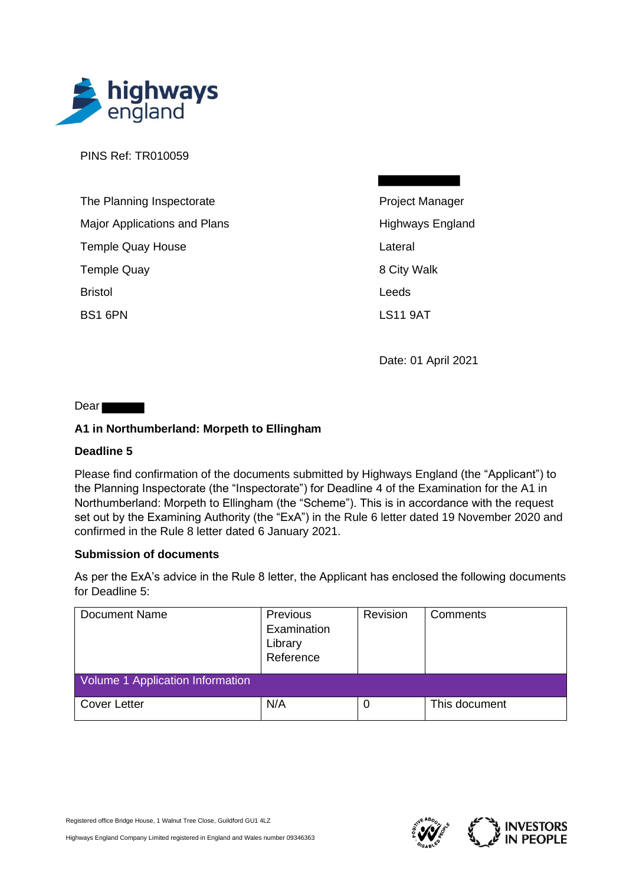

PINS Ref: TR010059

| The Planning Inspectorate    |
|------------------------------|
| Major Applications and Plans |
| <b>Temple Quay House</b>     |
| <b>Temple Quay</b>           |
| <b>Bristol</b>               |
| BS1 6PN                      |

Project Manager Highways England Lateral 8 City Walk Leeds LS11 9AT

Date: 01 April 2021

Dear **Dear** 

## **A1 in Northumberland: Morpeth to Ellingham**

## **Deadline 5**

Please find confirmation of the documents submitted by Highways England (the "Applicant") to the Planning Inspectorate (the "Inspectorate") for Deadline 4 of the Examination for the A1 in Northumberland: Morpeth to Ellingham (the "Scheme"). This is in accordance with the request set out by the Examining Authority (the "ExA") in the Rule 6 letter dated 19 November 2020 and confirmed in the Rule 8 letter dated 6 January 2021.

## **Submission of documents**

As per the ExA's advice in the Rule 8 letter, the Applicant has enclosed the following documents for Deadline 5:

| <b>Document Name</b>             | Previous<br>Examination<br>Library<br>Reference | Revision | Comments      |  |
|----------------------------------|-------------------------------------------------|----------|---------------|--|
| Volume 1 Application Information |                                                 |          |               |  |
| <b>Cover Letter</b>              | N/A                                             | 0        | This document |  |



Highways England Company Limited registered in England and Wales number 09346363

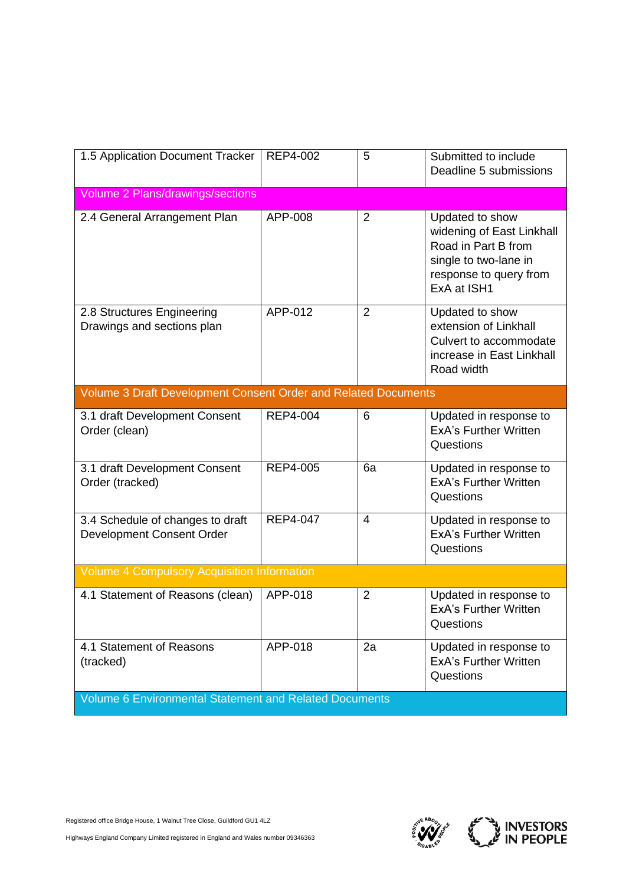| 1.5 Application Document Tracker                               | REP4-002        | 5              | Submitted to include<br>Deadline 5 submissions                                                                                        |  |
|----------------------------------------------------------------|-----------------|----------------|---------------------------------------------------------------------------------------------------------------------------------------|--|
| Volume 2 Plans/drawings/sections                               |                 |                |                                                                                                                                       |  |
| 2.4 General Arrangement Plan                                   | APP-008         | $\overline{2}$ | Updated to show<br>widening of East Linkhall<br>Road in Part B from<br>single to two-lane in<br>response to query from<br>ExA at ISH1 |  |
| 2.8 Structures Engineering<br>Drawings and sections plan       | APP-012         | $\overline{2}$ | Updated to show<br>extension of Linkhall<br>Culvert to accommodate<br>increase in East Linkhall<br>Road width                         |  |
| Volume 3 Draft Development Consent Order and Related Documents |                 |                |                                                                                                                                       |  |
| 3.1 draft Development Consent<br>Order (clean)                 | <b>REP4-004</b> | 6              | Updated in response to<br><b>ExA's Further Written</b><br>Questions                                                                   |  |
| 3.1 draft Development Consent<br>Order (tracked)               | REP4-005        | 6a             | Updated in response to<br><b>ExA's Further Written</b><br>Questions                                                                   |  |
| 3.4 Schedule of changes to draft<br>Development Consent Order  | <b>REP4-047</b> | $\overline{4}$ | Updated in response to<br><b>ExA's Further Written</b><br>Questions                                                                   |  |
| <b>Volume 4 Compulsory Acquisition Information</b>             |                 |                |                                                                                                                                       |  |
| 4.1 Statement of Reasons (clean)                               | APP-018         | $\overline{2}$ | Updated in response to<br><b>ExA's Further Written</b><br>Questions                                                                   |  |
| 4.1 Statement of Reasons<br>(tracked)                          | APP-018         | 2a             | Updated in response to<br><b>ExA's Further Written</b><br>Questions                                                                   |  |
| <b>Volume 6 Environmental Statement and Related Documents</b>  |                 |                |                                                                                                                                       |  |



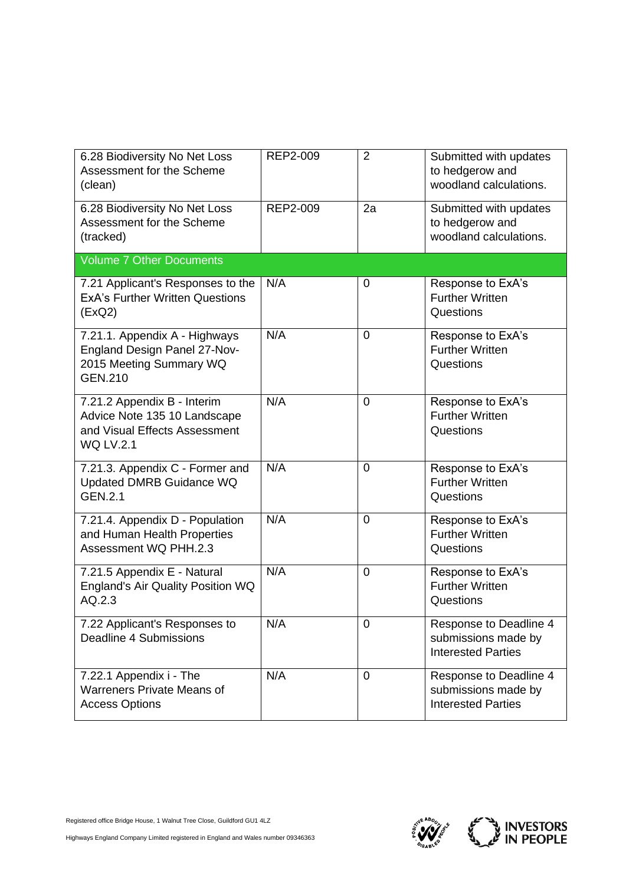| 6.28 Biodiversity No Net Loss<br>Assessment for the Scheme<br>(clean)                                            | REP2-009 | $\overline{2}$ | Submitted with updates<br>to hedgerow and<br>woodland calculations.        |
|------------------------------------------------------------------------------------------------------------------|----------|----------------|----------------------------------------------------------------------------|
| 6.28 Biodiversity No Net Loss<br>Assessment for the Scheme<br>(tracked)                                          | REP2-009 | 2a             | Submitted with updates<br>to hedgerow and<br>woodland calculations.        |
| <b>Volume 7 Other Documents</b>                                                                                  |          |                |                                                                            |
| 7.21 Applicant's Responses to the<br><b>ExA's Further Written Questions</b><br>(EXQ2)                            | N/A      | 0              | Response to ExA's<br><b>Further Written</b><br>Questions                   |
| 7.21.1. Appendix A - Highways<br>England Design Panel 27-Nov-<br>2015 Meeting Summary WQ<br><b>GEN.210</b>       | N/A      | 0              | Response to ExA's<br><b>Further Written</b><br>Questions                   |
| 7.21.2 Appendix B - Interim<br>Advice Note 135 10 Landscape<br>and Visual Effects Assessment<br><b>WQ LV.2.1</b> | N/A      | $\overline{0}$ | Response to ExA's<br><b>Further Written</b><br>Questions                   |
| 7.21.3. Appendix C - Former and<br>Updated DMRB Guidance WQ<br><b>GEN.2.1</b>                                    | N/A      | $\overline{0}$ | Response to ExA's<br><b>Further Written</b><br>Questions                   |
| 7.21.4. Appendix D - Population<br>and Human Health Properties<br>Assessment WQ PHH.2.3                          | N/A      | $\overline{0}$ | Response to ExA's<br><b>Further Written</b><br>Questions                   |
| 7.21.5 Appendix E - Natural<br>England's Air Quality Position WQ<br>AQ.2.3                                       | N/A      | $\overline{0}$ | Response to ExA's<br><b>Further Written</b><br>Questions                   |
| 7.22 Applicant's Responses to<br>Deadline 4 Submissions                                                          | N/A      | $\mathbf 0$    | Response to Deadline 4<br>submissions made by<br><b>Interested Parties</b> |
| 7.22.1 Appendix i - The<br><b>Warreners Private Means of</b><br><b>Access Options</b>                            | N/A      | $\overline{0}$ | Response to Deadline 4<br>submissions made by<br><b>Interested Parties</b> |



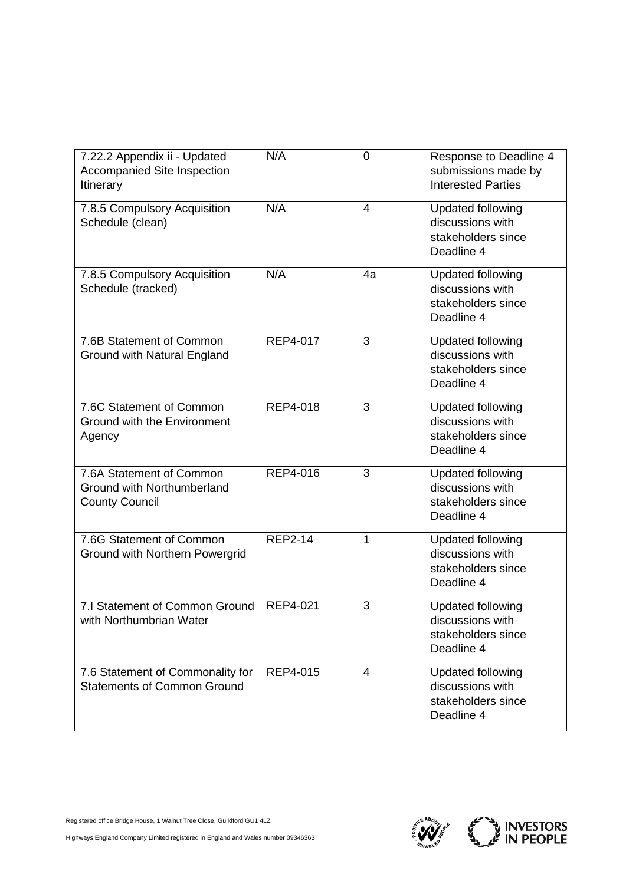| 7.22.2 Appendix ii - Updated<br>Accompanied Site Inspection<br>Itinerary        | N/A             | 0              | Response to Deadline 4<br>submissions made by<br><b>Interested Parties</b>       |
|---------------------------------------------------------------------------------|-----------------|----------------|----------------------------------------------------------------------------------|
| 7.8.5 Compulsory Acquisition<br>Schedule (clean)                                | N/A             | $\overline{4}$ | <b>Updated following</b><br>discussions with<br>stakeholders since<br>Deadline 4 |
| 7.8.5 Compulsory Acquisition<br>Schedule (tracked)                              | N/A             | 4a             | <b>Updated following</b><br>discussions with<br>stakeholders since<br>Deadline 4 |
| 7.6B Statement of Common<br><b>Ground with Natural England</b>                  | REP4-017        | 3              | <b>Updated following</b><br>discussions with<br>stakeholders since<br>Deadline 4 |
| 7.6C Statement of Common<br><b>Ground with the Environment</b><br>Agency        | <b>REP4-018</b> | 3              | <b>Updated following</b><br>discussions with<br>stakeholders since<br>Deadline 4 |
| 7.6A Statement of Common<br>Ground with Northumberland<br><b>County Council</b> | REP4-016        | 3              | <b>Updated following</b><br>discussions with<br>stakeholders since<br>Deadline 4 |
| 7.6G Statement of Common<br>Ground with Northern Powergrid                      | <b>REP2-14</b>  | $\mathbf{1}$   | <b>Updated following</b><br>discussions with<br>stakeholders since<br>Deadline 4 |
| 7.I Statement of Common Ground<br>with Northumbrian Water                       | <b>REP4-021</b> | 3              | <b>Updated following</b><br>discussions with<br>stakeholders since<br>Deadline 4 |
| 7.6 Statement of Commonality for<br><b>Statements of Common Ground</b>          | REP4-015        | $\overline{4}$ | Updated following<br>discussions with<br>stakeholders since<br>Deadline 4        |



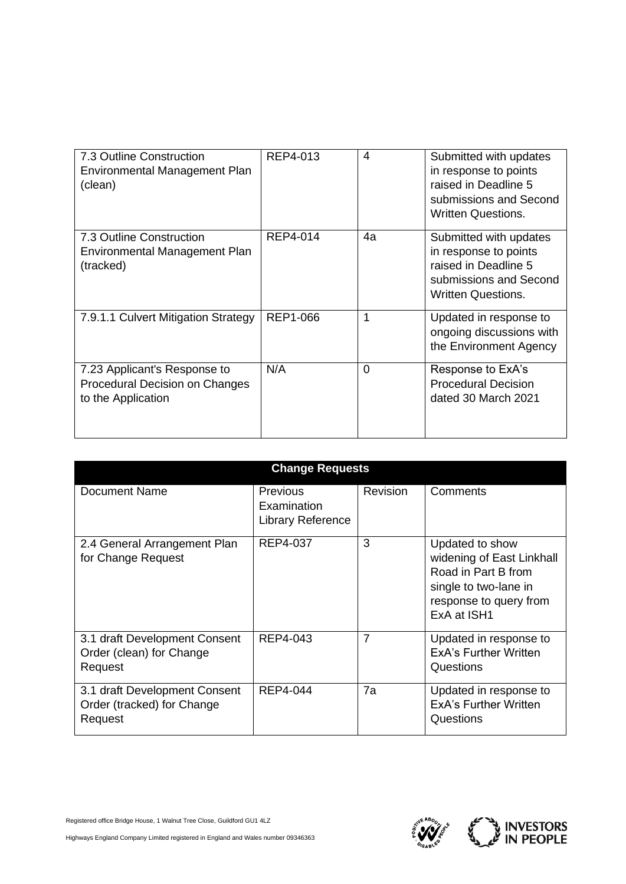| 7.3 Outline Construction<br>Environmental Management Plan<br>(clean)                 | REP4-013        | 4  | Submitted with updates<br>in response to points<br>raised in Deadline 5<br>submissions and Second<br><b>Written Questions.</b> |
|--------------------------------------------------------------------------------------|-----------------|----|--------------------------------------------------------------------------------------------------------------------------------|
| 7.3 Outline Construction<br>Environmental Management Plan<br>(tracked)               | REP4-014        | 4a | Submitted with updates<br>in response to points<br>raised in Deadline 5<br>submissions and Second<br><b>Written Questions.</b> |
| 7.9.1.1 Culvert Mitigation Strategy                                                  | <b>REP1-066</b> | 1  | Updated in response to<br>ongoing discussions with<br>the Environment Agency                                                   |
| 7.23 Applicant's Response to<br>Procedural Decision on Changes<br>to the Application | N/A             | 0  | Response to ExA's<br><b>Procedural Decision</b><br>dated 30 March 2021                                                         |

| <b>Change Requests</b>                                                 |                                                            |                 |                                                                                                                                       |  |
|------------------------------------------------------------------------|------------------------------------------------------------|-----------------|---------------------------------------------------------------------------------------------------------------------------------------|--|
| Document Name                                                          | <b>Previous</b><br>Examination<br><b>Library Reference</b> | <b>Revision</b> | Comments                                                                                                                              |  |
| 2.4 General Arrangement Plan<br>for Change Request                     | REP4-037                                                   | 3               | Updated to show<br>widening of East Linkhall<br>Road in Part B from<br>single to two-lane in<br>response to query from<br>ExA at ISH1 |  |
| 3.1 draft Development Consent<br>Order (clean) for Change<br>Request   | REP4-043                                                   | 7               | Updated in response to<br><b>ExA's Further Written</b><br>Questions                                                                   |  |
| 3.1 draft Development Consent<br>Order (tracked) for Change<br>Request | <b>REP4-044</b>                                            | 7a              | Updated in response to<br>ExA's Further Written<br>Questions                                                                          |  |